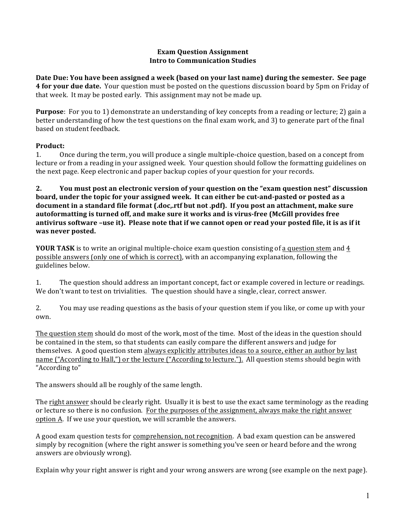#### **Exam Question Assignment Intro to Communication Studies**

Date Due: You have been assigned a week (based on your last name) during the semester. See page **4 for your due date.** Your question must be posted on the questions discussion board by 5pm on Friday of that week. It may be posted early. This assignment may not be made up.

**Purpose**: For you to 1) demonstrate an understanding of key concepts from a reading or lecture; 2) gain a better understanding of how the test questions on the final exam work, and 3) to generate part of the final based on student feedback.

## Product:

1. Once during the term, you will produce a single multiple-choice question, based on a concept from lecture or from a reading in your assigned week. Your question should follow the formatting guidelines on the next page. Keep electronic and paper backup copies of your question for your records.

**2. You** must post an electronic version of your question on the "exam question nest" discussion **board, under the topic for your assigned week. It can either be cut-and-pasted or posted as a document in a standard file format (.doc,.rtf but not .pdf).** If you post an attachment, make sure autoformatting is turned off, and make sure it works and is virus-free (McGill provides free antivirus software -use it). Please note that if we cannot open or read your posted file, it is as if it **was never posted.**

**YOUR TASK** is to write an original multiple-choice exam question consisting of a question stem and 4 possible answers (only one of which is correct), with an accompanying explanation, following the guidelines below.

1. The question should address an important concept, fact or example covered in lecture or readings. We don't want to test on trivialities. The question should have a single, clear, correct answer.

2. You may use reading questions as the basis of your question stem if you like, or come up with your own.

The question stem should do most of the work, most of the time. Most of the ideas in the question should be contained in the stem, so that students can easily compare the different answers and judge for themselves. A good question stem always explicitly attributes ideas to a source, either an author by last name ("According to Hall,") or the lecture ("According to lecture."). All question stems should begin with "According to"

The answers should all be roughly of the same length.

The right answer should be clearly right. Usually it is best to use the exact same terminology as the reading or lecture so there is no confusion. For the purposes of the assignment, always make the right answer option A. If we use your question, we will scramble the answers.

A good exam question tests for comprehension, not recognition. A bad exam question can be answered simply by recognition (where the right answer is something you've seen or heard before and the wrong answers are obviously wrong).

Explain why your right answer is right and your wrong answers are wrong (see example on the next page).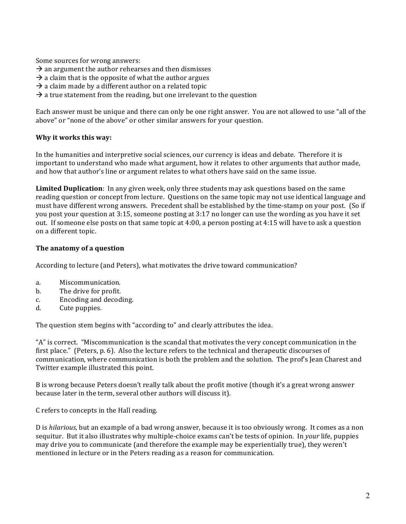Some sources for wrong answers:

- $\rightarrow$  an argument the author rehearses and then dismisses
- $\rightarrow$  a claim that is the opposite of what the author argues
- $\rightarrow$  a claim made by a different author on a related topic
- $\rightarrow$  a true statement from the reading, but one irrelevant to the question

Each answer must be unique and there can only be one right answer. You are not allowed to use "all of the above" or "none of the above" or other similar answers for your question.

#### **Why it works this way:**

In the humanities and interpretive social sciences, our currency is ideas and debate. Therefore it is important to understand who made what argument, how it relates to other arguments that author made, and how that author's line or argument relates to what others have said on the same issue.

**Limited Duplication**: In any given week, only three students may ask questions based on the same reading question or concept from lecture. Questions on the same topic may not use identical language and must have different wrong answers. Precedent shall be established by the time-stamp on your post. (So if you post your question at  $3:15$ , someone posting at  $3:17$  no longer can use the wording as you have it set out. If someone else posts on that same topic at 4:00, a person posting at 4:15 will have to ask a question on a different topic.

#### The anatomy of a question

According to lecture (and Peters), what motivates the drive toward communication?

- a. Miscommunication.
- b. The drive for profit.
- c. Encoding and decoding.
- d. Cute puppies.

The question stem begins with "according to" and clearly attributes the idea.

"A" is correct. "Miscommunication is the scandal that motivates the very concept communication in the first place." (Peters,  $p. 6$ ). Also the lecture refers to the technical and therapeutic discourses of communication, where communication is both the problem and the solution. The prof's Jean Charest and Twitter example illustrated this point.

B is wrong because Peters doesn't really talk about the profit motive (though it's a great wrong answer because later in the term, several other authors will discuss it).

C refers to concepts in the Hall reading.

D is *hilarious*, but an example of a bad wrong answer, because it is too obviously wrong. It comes as a non sequitur. But it also illustrates why multiple-choice exams can't be tests of opinion. In *your* life, puppies may drive you to communicate (and therefore the example may be experientially true), they weren't mentioned in lecture or in the Peters reading as a reason for communication.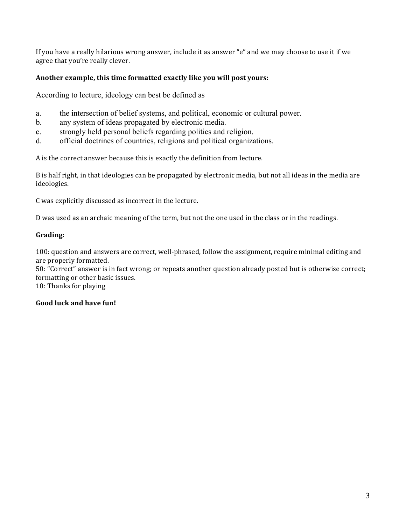If you have a really hilarious wrong answer, include it as answer "e" and we may choose to use it if we agree that you're really clever.

## Another example, this time formatted exactly like you will post yours:

According to lecture, ideology can best be defined as

- a. the intersection of belief systems, and political, economic or cultural power.
- b. any system of ideas propagated by electronic media.
- c. strongly held personal beliefs regarding politics and religion.
- d. official doctrines of countries, religions and political organizations.

A is the correct answer because this is exactly the definition from lecture.

B is half right, in that ideologies can be propagated by electronic media, but not all ideas in the media are ideologies.

C was explicitly discussed as incorrect in the lecture.

D was used as an archaic meaning of the term, but not the one used in the class or in the readings.

### **Grading:**

100: question and answers are correct, well-phrased, follow the assignment, require minimal editing and are properly formatted.

50: "Correct" answer is in fact wrong; or repeats another question already posted but is otherwise correct; formatting or other basic issues.

10: Thanks for playing

## Good luck and have fun!